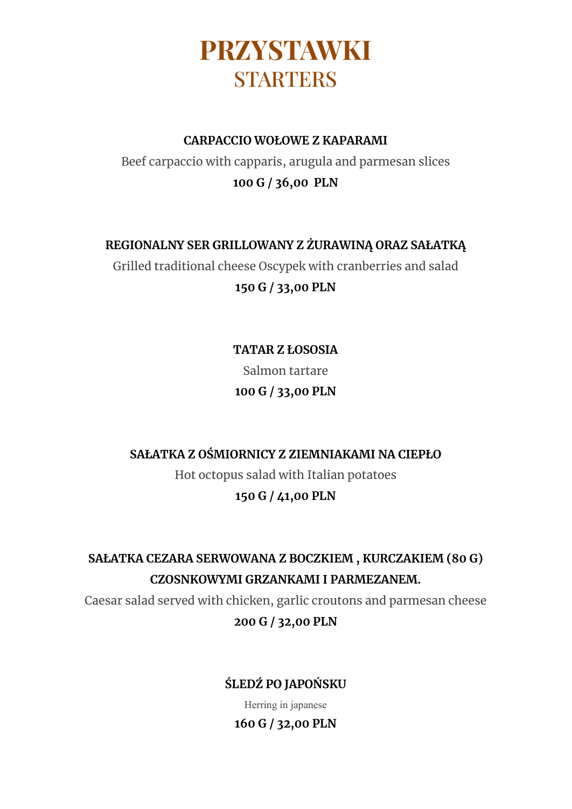

#### **CARPACCIO WOŁOWE Z KAPARAMI**

Beef carpaccio with capparis, arugula and parmesan slices **100 G / 36,00 PLN**

#### **REGIONALNY SER GRILLOWANY Z ŻURAWINĄ ORAZ SAŁATKĄ**

Grilled traditional cheese Oscypek with cranberries and salad **150 G / 33,00 PLN**

> **TATAR Z ŁOSOSIA** Salmon tartare **100 G / 33,00 PLN**

### **SAŁATKA Z OŚMIORNICY Z ZIEMNIAKAMI NA CIEPŁO**

Hot octopus salad with Italian potatoes

#### **150 G / 41,00 PLN**

**SAŁATKA CEZARA SERWOWANA Z BOCZKIEM , KURCZAKIEM (80 G) CZOSNKOWYMI GRZANKAMI I PARMEZANEM.**

Caesar salad served with chicken, garlic croutons and parmesan cheese **200 G / 32,00 PLN**

### **ŚLEDŹ PO JAPOŃSKU**

Herring in japanese

### **160 G / 32,00 PLN**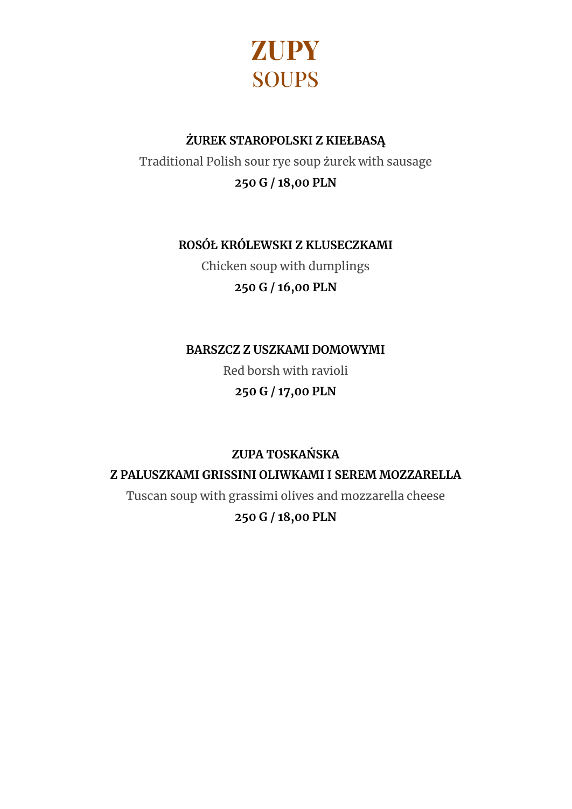

### **ŻUREK STAROPOLSKI Z KIEŁBASĄ**

Traditional Polish sour rye soup żurek with sausage **250 G / 18,00 PLN**

## **ROSÓŁ KRÓLEWSKI Z KLUSECZKAMI**

Chicken soup with dumplings **250 G / 16,00 PLN**

**BARSZCZ Z USZKAMI DOMOWYMI**

Red borsh with ravioli **250 G / 17,00 PLN**

**ZUPA TOSKAŃSKA**

**Z PALUSZKAMI GRISSINI OLIWKAMI I SEREM MOZZARELLA**

Tuscan soup with grassimi olives and mozzarella cheese

### **250 G / 18,00 PLN**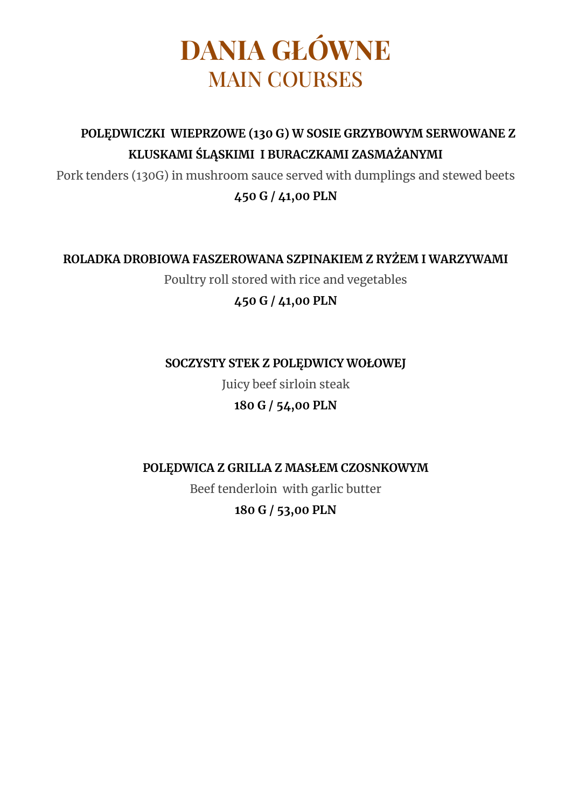# **DANIA GŁÓWNE** MAIN COURSES

## **POLĘDWICZKI WIEPRZOWE (130 G) W SOSIE GRZYBOWYM SERWOWANE Z KLUSKAMI ŚLĄSKIMI I BURACZKAMI ZASMAŻANYMI**

Pork tenders (130G) in mushroom sauce served with dumplings and stewed beets

### **450 G / 41,00 PLN**

### **ROLADKA DROBIOWA FASZEROWANA SZPINAKIEM Z RYŻEM I WARZYWAMI**

Poultry roll stored with rice and vegetables

### **450 G / 41,00 PLN**

### **SOCZYSTY STEK Z POLĘDWICY WOŁOWEJ**

Juicy beef sirloin steak

## **180 G / 54,00 PLN**

### **POLĘDWICA Z GRILLA Z MASŁEM CZOSNKOWYM**

Beef tenderloin with garlic butter

## **180 G / 53,00 PLN**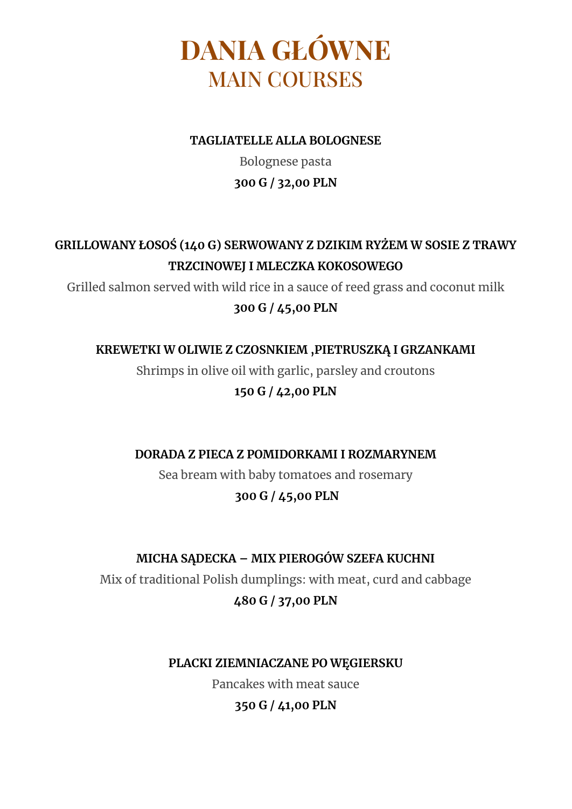# **DANIA GŁÓWNE** MAIN COURSES

#### **TAGLIATELLE ALLA BOLOGNESE**

Bolognese pasta **300 G / 32,00 PLN**

## **GRILLOWANY ŁOSOŚ (140 G) SERWOWANY Z DZIKIM RYŻEM W SOSIE Z TRAWY TRZCINOWEJ I MLECZKA KOKOSOWEGO**

Grilled salmon served with wild rice in a sauce of reed grass and coconut milk

### **300 G / 45,00 PLN**

### **KREWETKI W OLIWIE Z CZOSNKIEM ,PIETRUSZKĄ I GRZANKAMI**

Shrimps in olive oil with garlic, parsley and croutons **150 G / 42,00 PLN**

**DORADA Z PIECA Z POMIDORKAMI I ROZMARYNEM**

Sea bream with baby tomatoes and rosemary

## **300 G / 45,00 PLN**

## **MICHA SĄDECKA – MIX PIEROGÓW SZEFA KUCHNI**

Mix of traditional Polish dumplings: with meat, curd and cabbage **480 G / 37,00 PLN**

### **PLACKI ZIEMNIACZANE PO WĘGIERSKU**

Pancakes with meat sauce

### **350 G / 41,00 PLN**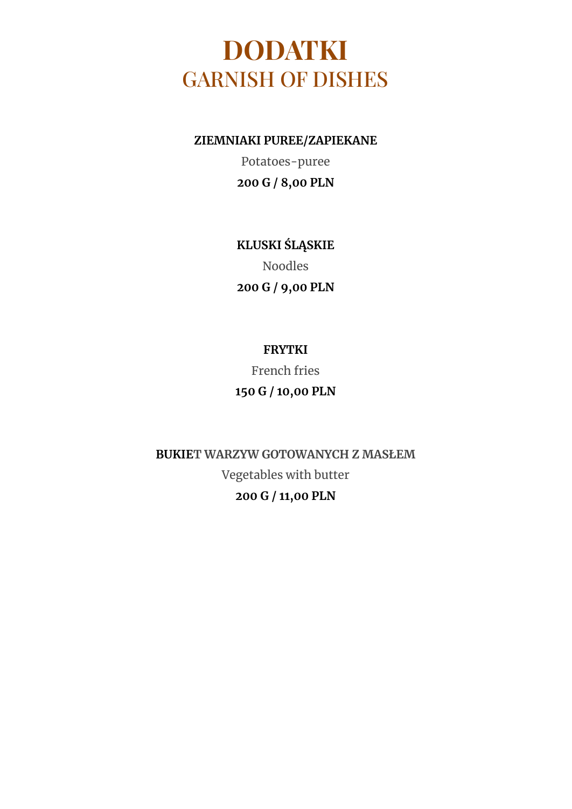## **DODATKI** GARNISH OF DISHES

**ZIEMNIAKI PUREE/ZAPIEKANE**

Potatoes-puree **200 G / 8,00 PLN**

**KLUSKI ŚLĄSKIE** Noodles **200 G / 9,00 PLN**

## **FRYTKI**

French fries **150 G / 10,00 PLN**

**BUKIET WARZYW GOTOWANYCH Z MASŁEM** Vegetables with butter **200 G / 11,00 PLN**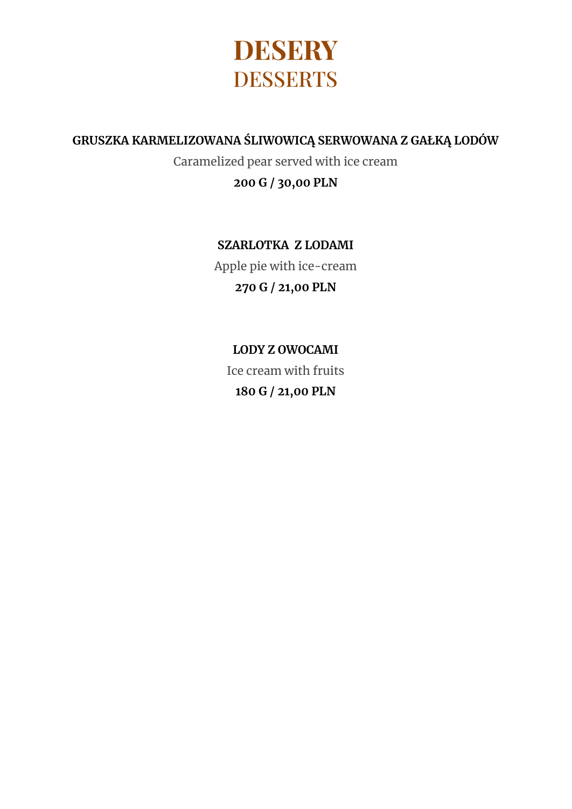

#### **GRUSZKA KARMELIZOWANA ŚLIWOWICĄ SERWOWANA Z GAŁKĄ LODÓW**

Caramelized pear served with ice cream **200 G ∕ 30,00 PLN**

### **SZARLOTKA Z LODAMI**

Apple pie with ice-cream **270 G / 21,00 PLN**

## **LODY Z OWOCAMI** Ice cream with fruits **180 G / 21,00 PLN**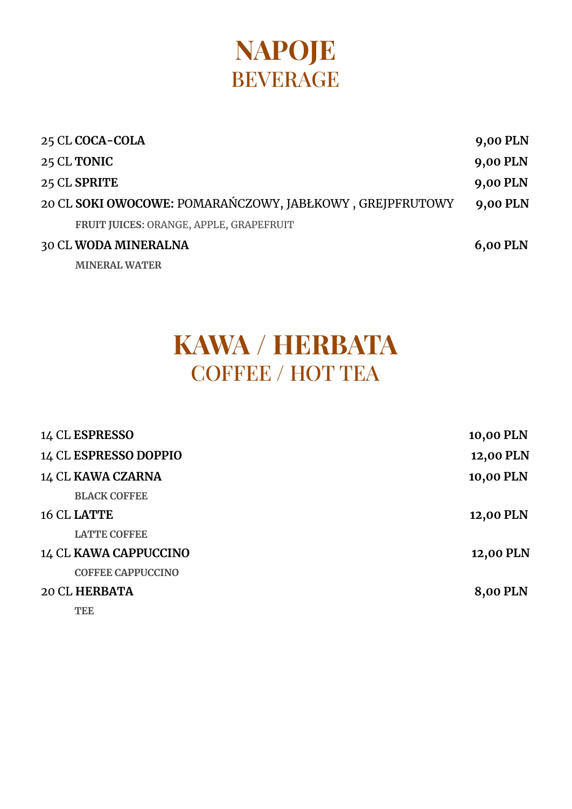# **NAPOJE** BEVERAGE

| 25 CL COCA-COLA                                          | 9,00 PLN        |
|----------------------------------------------------------|-----------------|
| 25 CL TONIC                                              | 9,00 PLN        |
| 25 CL SPRITE                                             | 9,00 PLN        |
| 20 CL SOKI OWOCOWE: POMARAŃCZOWY, JABŁKOWY, GREJPFRUTOWY | 9,00 PLN        |
| FRUIT JUICES: ORANGE, APPLE, GRAPEFRUIT                  |                 |
| 30 CL WODA MINERALNA                                     | <b>6,00 PLN</b> |
| <b>MINERAL WATER</b>                                     |                 |

# **KAWA / HERBATA** COFFEE / HOT TEA

| 14 CL ESPRESSO           | 10,00 PLN |
|--------------------------|-----------|
| 14 CL ESPRESSO DOPPIO    | 12,00 PLN |
| 14 CL KAWA CZARNA        | 10,00 PLN |
| <b>BLACK COFFEE</b>      |           |
| 16 CL LATTE              | 12,00 PLN |
| <b>LATTE COFFEE</b>      |           |
| 14 CL KAWA CAPPUCCINO    | 12,00 PLN |
| <b>COFFEE CAPPUCCINO</b> |           |
| <b>20 CL HERBATA</b>     | 8,00 PLN  |
| <b>TEE</b>               |           |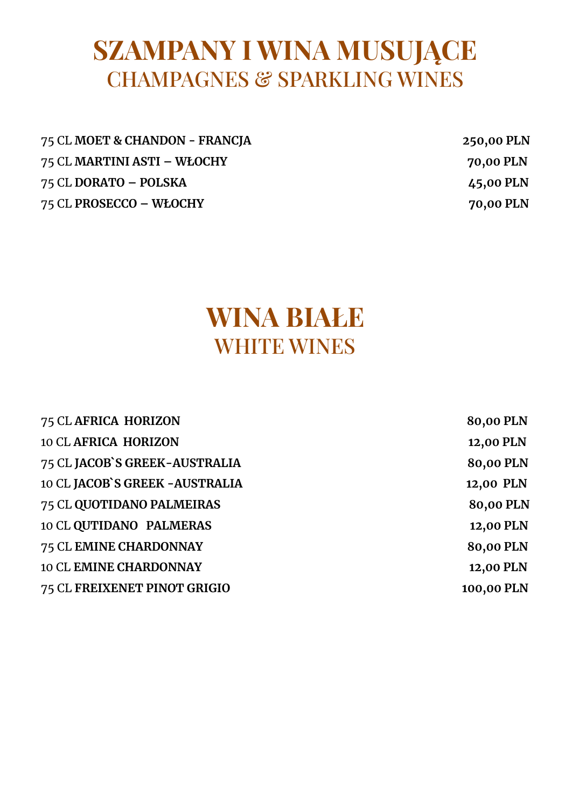## **SZAMPANY I WINA MUSUJĄCE** CHAMPAGNES & SPARKLING WINES

| 75 CL MOET & CHANDON - FRANCJA | 250,00 PLN |
|--------------------------------|------------|
| 75 CL MARTINI ASTI – WŁOCHY    | 70,00 PLN  |
| 75 CL DORATO – POLSKA          | 45,00 PLN  |
| 75 CL PROSECCO – WŁOCHY        | 70,00 PLN  |

## **WINA BIAŁE** WHITE WINES

| 75 CL AFRICA HORIZON            | 80,00 PLN  |
|---------------------------------|------------|
| <b>10 CL AFRICA HORIZON</b>     | 12,00 PLN  |
| 75 CL JACOB'S GREEK-AUSTRALIA   | 80,00 PLN  |
| 10 CL JACOB'S GREEK - AUSTRALIA | 12,00 PLN  |
| 75 CL QUOTIDANO PALMEIRAS       | 80,00 PLN  |
| 10 CL QUTIDANO PALMERAS         | 12,00 PLN  |
| 75 CL EMINE CHARDONNAY          | 80,00 PLN  |
| <b>10 CL EMINE CHARDONNAY</b>   | 12,00 PLN  |
| 75 CL FREIXENET PINOT GRIGIO    | 100,00 PLN |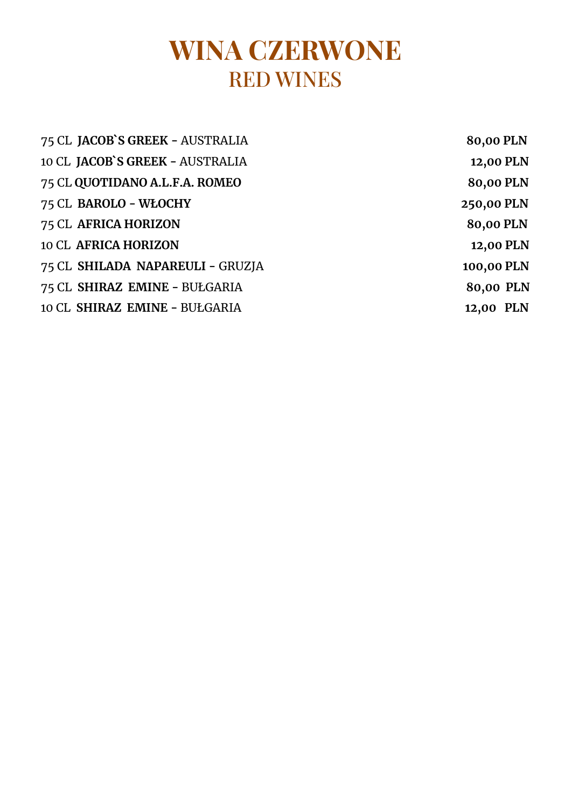# **WINA CZERWONE** RED WINES

| 75 CL JACOB'S GREEK - AUSTRALIA  | 80,00 PLN  |
|----------------------------------|------------|
| 10 CL JACOB'S GREEK - AUSTRALIA  | 12,00 PLN  |
| 75 CL QUOTIDANO A.L.F.A. ROMEO   | 80,00 PLN  |
| 75 CL BAROLO - WŁOCHY            | 250,00 PLN |
| 75 CL AFRICA HORIZON             | 80,00 PLN  |
| <b>10 CL AFRICA HORIZON</b>      | 12,00 PLN  |
| 75 CL SHILADA NAPAREULI - GRUZJA | 100,00 PLN |
| 75 CL SHIRAZ EMINE - BUŁGARIA    | 80,00 PLN  |
| 10 CL SHIRAZ EMINE - BUŁGARIA    | 12,00 PLN  |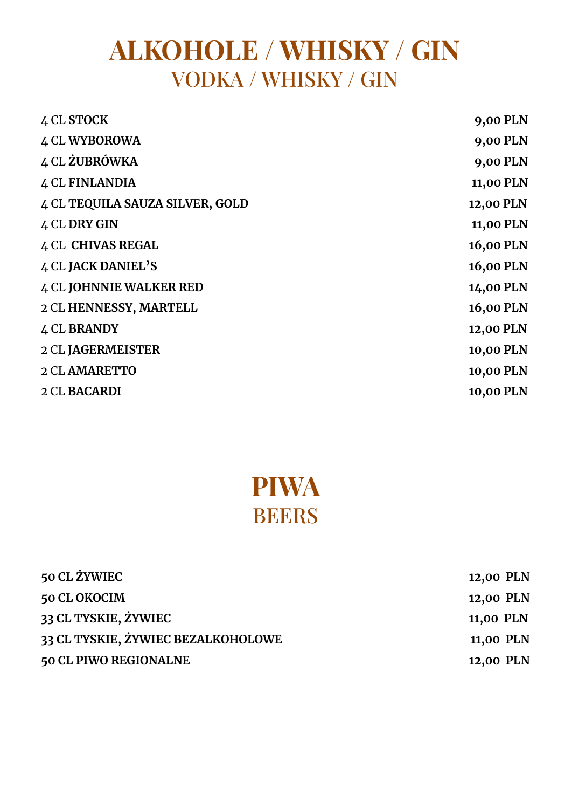# **ALKOHOLE / WHISKY / GIN** VODKA / WHISKY / GIN

| 4 CL STOCK                      | 9,00 PLN  |
|---------------------------------|-----------|
| <b>4 CL WYBOROWA</b>            | 9,00 PLN  |
| 4 CL ŻUBRÓWKA                   | 9,00 PLN  |
| 4 CL FINLANDIA                  | 11,00 PLN |
| 4 CL TEQUILA SAUZA SILVER, GOLD | 12,00 PLN |
| 4 CL DRY GIN                    | 11,00 PLN |
| <b>4 CL CHIVAS REGAL</b>        | 16,00 PLN |
| 4 CL JACK DANIEL'S              | 16,00 PLN |
| <b>4 CL JOHNNIE WALKER RED</b>  | 14,00 PLN |
| 2 CL HENNESSY, MARTELL          | 16,00 PLN |
| 4 CL BRANDY                     | 12,00 PLN |
| 2 CL JAGERMEISTER               | 10,00 PLN |
| <b>2 CL AMARETTO</b>            | 10,00 PLN |
| 2 CL BACARDI                    | 10,00 PLN |
|                                 |           |

# **PIWA** BEERS

| <b>50 CL ŻYWIEC</b>                | 12,00 PLN |
|------------------------------------|-----------|
| 50 CL OKOCIM                       | 12,00 PLN |
| 33 CL TYSKIE, ŻYWIEC               | 11,00 PLN |
| 33 CL TYSKIE, ŻYWIEC BEZALKOHOLOWE | 11,00 PLN |
| 50 CL PIWO REGIONALNE              | 12,00 PLN |